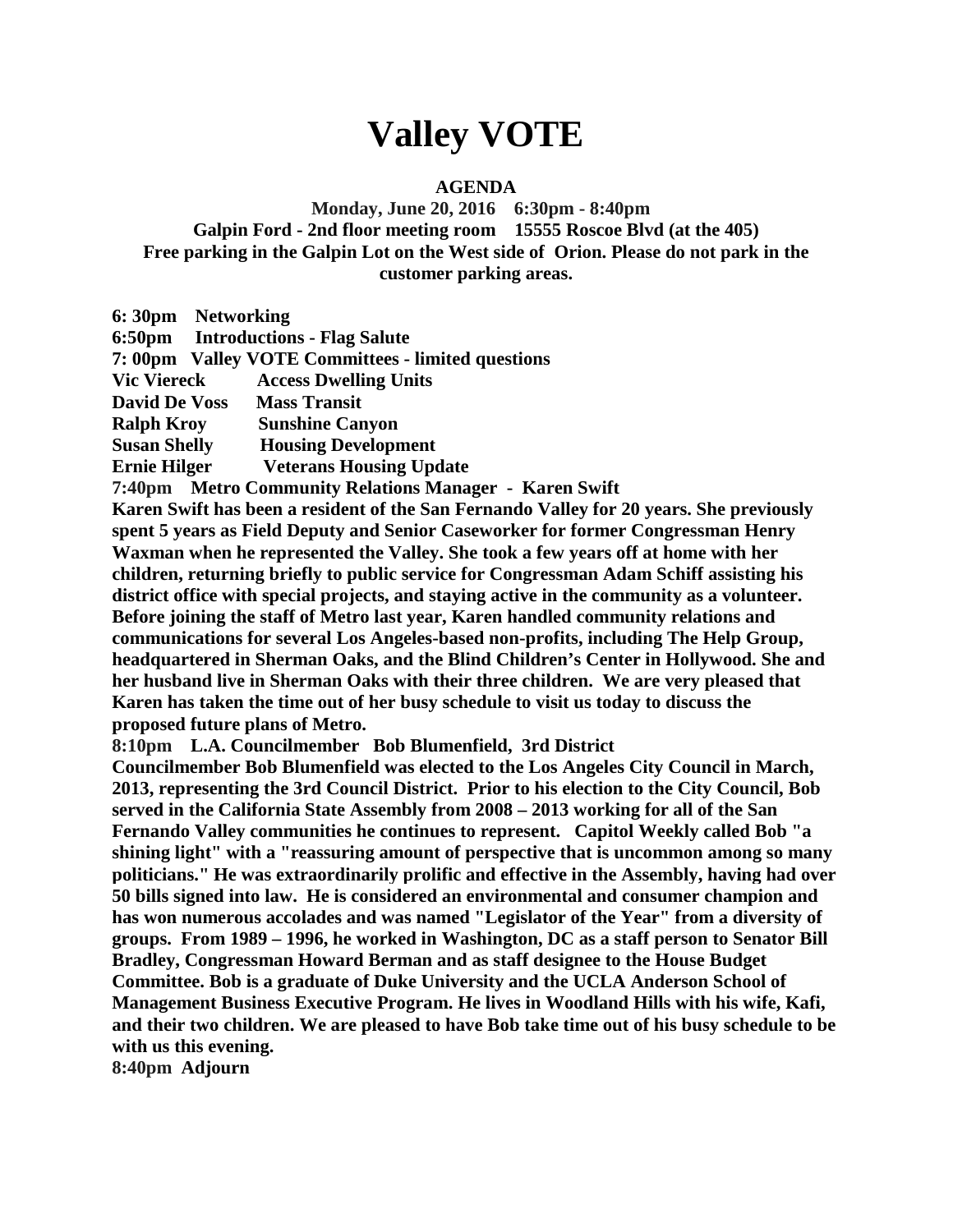## **Valley VOTE**

## **AGENDA**

**Monday, June 20, 2016 6:30pm - 8:40pm Galpin Ford - 2nd floor meeting room 15555 Roscoe Blvd (at the 405) Free parking in the Galpin Lot on the West side of Orion. Please do not park in the customer parking areas.**

| 6: 30pm Networking   |                                                    |
|----------------------|----------------------------------------------------|
|                      | 6:50pm Introductions - Flag Salute                 |
|                      | 7: 00pm Valley VOTE Committees - limited questions |
| <b>Vic Viereck</b>   | <b>Access Dwelling Units</b>                       |
| <b>David De Voss</b> | <b>Mass Transit</b>                                |
| Ralph Kroy           | <b>Sunshine Canyon</b>                             |
| <b>Susan Shelly</b>  | <b>Housing Development</b>                         |
| Ernie Hilger         | <b>Veterans Housing Update</b>                     |
|                      |                                                    |

**7:40pm Metro Community Relations Manager - Karen Swift** 

**Karen Swift has been a resident of the San Fernando Valley for 20 years. She previously spent 5 years as Field Deputy and Senior Caseworker for former Congressman Henry Waxman when he represented the Valley. She took a few years off at home with her children, returning briefly to public service for Congressman Adam Schiff assisting his district office with special projects, and staying active in the community as a volunteer. Before joining the staff of Metro last year, Karen handled community relations and communications for several Los Angeles-based non-profits, including The Help Group, headquartered in Sherman Oaks, and the Blind Children's Center in Hollywood. She and her husband live in Sherman Oaks with their three children. We are very pleased that Karen has taken the time out of her busy schedule to visit us today to discuss the proposed future plans of Metro.**

**8:10pm L.A. Councilmember Bob Blumenfield, 3rd District** 

**Councilmember Bob Blumenfield was elected to the Los Angeles City Council in March, 2013, representing the 3rd Council District. Prior to his election to the City Council, Bob served in the California State Assembly from 2008 – 2013 working for all of the San Fernando Valley communities he continues to represent. Capitol Weekly called Bob "a shining light" with a "reassuring amount of perspective that is uncommon among so many politicians." He was extraordinarily prolific and effective in the Assembly, having had over 50 bills signed into law. He is considered an environmental and consumer champion and has won numerous accolades and was named "Legislator of the Year" from a diversity of groups. From 1989 – 1996, he worked in Washington, DC as a staff person to Senator Bill Bradley, Congressman Howard Berman and as staff designee to the House Budget Committee. Bob is a graduate of Duke University and the UCLA Anderson School of Management Business Executive Program. He lives in Woodland Hills with his wife, Kafi, and their two children. We are pleased to have Bob take time out of his busy schedule to be with us this evening.**

**8:40pm Adjourn**